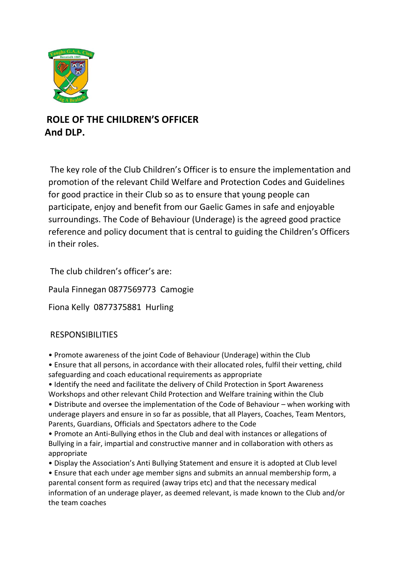

## **ROLE OF THE CHILDREN'S OFFICER And DLP.**

The key role of the Club Children's Officer is to ensure the implementation and promotion of the relevant Child Welfare and Protection Codes and Guidelines for good practice in their Club so as to ensure that young people can participate, enjoy and benefit from our Gaelic Games in safe and enjoyable surroundings. The Code of Behaviour (Underage) is the agreed good practice reference and policy document that is central to guiding the Children's Officers in their roles.

The club children's officer's are:

Paula Finnegan 0877569773 Camogie

Fiona Kelly 0877375881 Hurling

## RESPONSIBILITIES

- Promote awareness of the joint Code of Behaviour (Underage) within the Club
- Ensure that all persons, in accordance with their allocated roles, fulfil their vetting, child safeguarding and coach educational requirements as appropriate
- Identify the need and facilitate the delivery of Child Protection in Sport Awareness Workshops and other relevant Child Protection and Welfare training within the Club

• Distribute and oversee the implementation of the Code of Behaviour – when working with underage players and ensure in so far as possible, that all Players, Coaches, Team Mentors, Parents, Guardians, Officials and Spectators adhere to the Code

- Promote an Anti-Bullying ethos in the Club and deal with instances or allegations of Bullying in a fair, impartial and constructive manner and in collaboration with others as appropriate
- Display the Association's Anti Bullying Statement and ensure it is adopted at Club level
- Ensure that each under age member signs and submits an annual membership form, a parental consent form as required (away trips etc) and that the necessary medical information of an underage player, as deemed relevant, is made known to the Club and/or the team coaches